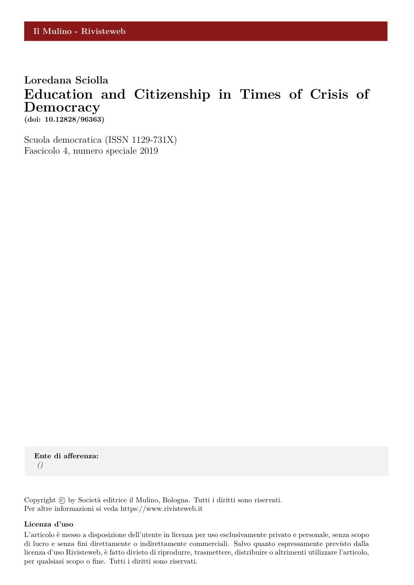# **Loredana Sciolla Education and Citizenship in Times of Crisis of Democracy (doi: 10.12828/96363)**

Scuola democratica (ISSN 1129-731X) Fascicolo 4, numero speciale 2019

**Ente di afferenza:** *()*

Copyright © by Società editrice il Mulino, Bologna. Tutti i diritti sono riservati. Per altre informazioni si veda https://www.rivisteweb.it

#### **Licenza d'uso**

L'articolo è messo a disposizione dell'utente in licenza per uso esclusivamente privato e personale, senza scopo di lucro e senza fini direttamente o indirettamente commerciali. Salvo quanto espressamente previsto dalla licenza d'uso Rivisteweb, è fatto divieto di riprodurre, trasmettere, distribuire o altrimenti utilizzare l'articolo, per qualsiasi scopo o fine. Tutti i diritti sono riservati.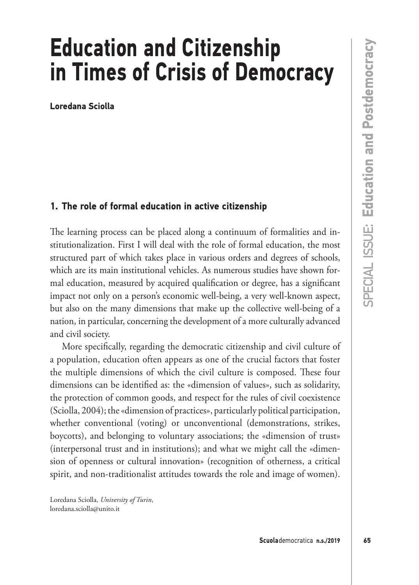# **Education and Citizenship in Times of Crisis of Democracy**

**Loredana Sciolla**

# **1. The role of formal education in active citizenship**

The learning process can be placed along a continuum of formalities and institutionalization. First I will deal with the role of formal education, the most structured part of which takes place in various orders and degrees of schools, which are its main institutional vehicles. As numerous studies have shown formal education, measured by acquired qualification or degree, has a significant impact not only on a person's economic well-being, a very well-known aspect, but also on the many dimensions that make up the collective well-being of a nation, in particular, concerning the development of a more culturally advanced and civil society.

More specifically, regarding the democratic citizenship and civil culture of a population, education often appears as one of the crucial factors that foster the multiple dimensions of which the civil culture is composed. These four dimensions can be identified as: the «dimension of values», such as solidarity, the protection of common goods, and respect for the rules of civil coexistence (Sciolla, 2004); the «dimension of practices», particularly political participation, whether conventional (voting) or unconventional (demonstrations, strikes, boycotts), and belonging to voluntary associations; the «dimension of trust» (interpersonal trust and in institutions); and what we might call the «dimension of openness or cultural innovation» (recognition of otherness, a critical spirit, and non-traditionalist attitudes towards the role and image of women).

Loredana Sciolla, *University of Turin*, loredana.sciolla@unito.it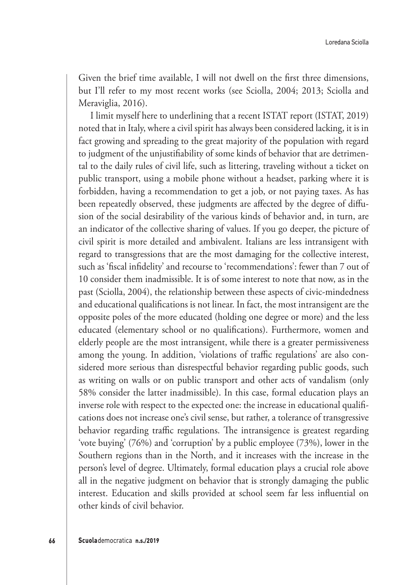Given the brief time available, I will not dwell on the first three dimensions, but I'll refer to my most recent works (see Sciolla, 2004; 2013; Sciolla and Meraviglia, 2016).

I limit myself here to underlining that a recent ISTAT report (ISTAT, 2019) noted that in Italy, where a civil spirit has always been considered lacking, it is in fact growing and spreading to the great majority of the population with regard to judgment of the unjustifiability of some kinds of behavior that are detrimental to the daily rules of civil life, such as littering, traveling without a ticket on public transport, using a mobile phone without a headset, parking where it is forbidden, having a recommendation to get a job, or not paying taxes. As has been repeatedly observed, these judgments are affected by the degree of diffusion of the social desirability of the various kinds of behavior and, in turn, are an indicator of the collective sharing of values. If you go deeper, the picture of civil spirit is more detailed and ambivalent. Italians are less intransigent with regard to transgressions that are the most damaging for the collective interest, such as 'fiscal infidelity' and recourse to 'recommendations': fewer than 7 out of 10 consider them inadmissible. It is of some interest to note that now, as in the past (Sciolla, 2004), the relationship between these aspects of civic-mindedness and educational qualifications is not linear. In fact, the most intransigent are the opposite poles of the more educated (holding one degree or more) and the less educated (elementary school or no qualifications). Furthermore, women and elderly people are the most intransigent, while there is a greater permissiveness among the young. In addition, 'violations of traffic regulations' are also considered more serious than disrespectful behavior regarding public goods, such as writing on walls or on public transport and other acts of vandalism (only 58% consider the latter inadmissible). In this case, formal education plays an inverse role with respect to the expected one: the increase in educational qualifications does not increase one's civil sense, but rather, a tolerance of transgressive behavior regarding traffic regulations. The intransigence is greatest regarding 'vote buying' (76%) and 'corruption' by a public employee (73%), lower in the Southern regions than in the North, and it increases with the increase in the person's level of degree. Ultimately, formal education plays a crucial role above all in the negative judgment on behavior that is strongly damaging the public interest. Education and skills provided at school seem far less influential on other kinds of civil behavior.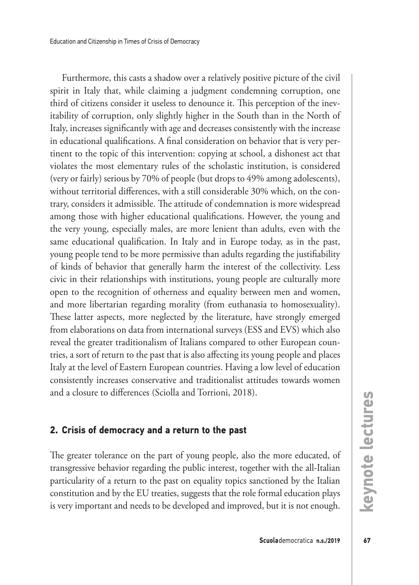Furthermore, this casts a shadow over a relatively positive picture of the civil spirit in Italy that, while claiming a judgment condemning corruption, one third of citizens consider it useless to denounce it. This perception of the inevitability of corruption, only slightly higher in the South than in the North of Italy, increases significantly with age and decreases consistently with the increase in educational qualifications. A final consideration on behavior that is very pertinent to the topic of this intervention: copying at school, a dishonest act that violates the most elementary rules of the scholastic institution, is considered (very or fairly) serious by 70% of people (but drops to 49% among adolescents), without territorial differences, with a still considerable 30% which, on the contrary, considers it admissible. The attitude of condemnation is more widespread among those with higher educational qualifications. However, the young and the very young, especially males, are more lenient than adults, even with the same educational qualification. In Italy and in Europe today, as in the past, young people tend to be more permissive than adults regarding the justifiability of kinds of behavior that generally harm the interest of the collectivity. Less civic in their relationships with institutions, young people are culturally more open to the recognition of otherness and equality between men and women, and more libertarian regarding morality (from euthanasia to homosexuality). These latter aspects, more neglected by the literature, have strongly emerged from elaborations on data from international surveys (ESS and EVS) which also reveal the greater traditionalism of Italians compared to other European countries, a sort of return to the past that is also affecting its young people and places Italy at the level of Eastern European countries. Having a low level of education consistently increases conservative and traditionalist attitudes towards women and a closure to differences (Sciolla and Torrioni, 2018).

## **2. Crisis of democracy and a return to the past**

The greater tolerance on the part of young people, also the more educated, of transgressive behavior regarding the public interest, together with the all-Italian particularity of a return to the past on equality topics sanctioned by the Italian constitution and by the EU treaties, suggests that the role formal education plays is very important and needs to be developed and improved, but it is not enough.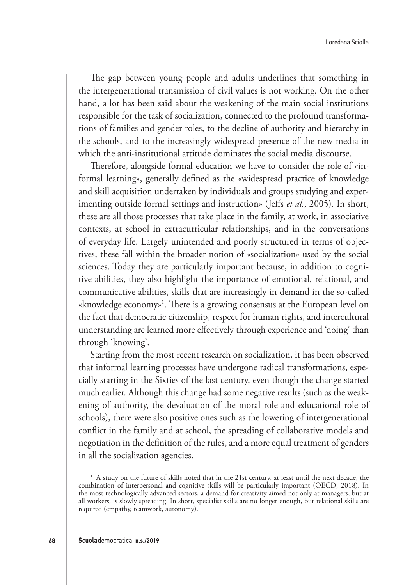The gap between young people and adults underlines that something in the intergenerational transmission of civil values is not working. On the other hand, a lot has been said about the weakening of the main social institutions responsible for the task of socialization, connected to the profound transformations of families and gender roles, to the decline of authority and hierarchy in the schools, and to the increasingly widespread presence of the new media in which the anti-institutional attitude dominates the social media discourse.

Therefore, alongside formal education we have to consider the role of «informal learning», generally defined as the «widespread practice of knowledge and skill acquisition undertaken by individuals and groups studying and experimenting outside formal settings and instruction» (Jeffs *et al.*, 2005). In short, these are all those processes that take place in the family, at work, in associative contexts, at school in extracurricular relationships, and in the conversations of everyday life. Largely unintended and poorly structured in terms of objectives, these fall within the broader notion of «socialization» used by the social sciences. Today they are particularly important because, in addition to cognitive abilities, they also highlight the importance of emotional, relational, and communicative abilities, skills that are increasingly in demand in the so-called «knowledge economy»1 . There is a growing consensus at the European level on the fact that democratic citizenship, respect for human rights, and intercultural understanding are learned more effectively through experience and 'doing' than through 'knowing'.

Starting from the most recent research on socialization, it has been observed that informal learning processes have undergone radical transformations, especially starting in the Sixties of the last century, even though the change started much earlier. Although this change had some negative results (such as the weakening of authority, the devaluation of the moral role and educational role of schools), there were also positive ones such as the lowering of intergenerational conflict in the family and at school, the spreading of collaborative models and negotiation in the definition of the rules, and a more equal treatment of genders in all the socialization agencies.

<sup>&</sup>lt;sup>1</sup> A study on the future of skills noted that in the 21st century, at least until the next decade, the combination of interpersonal and cognitive skills will be particularly important (OECD, 2018). In the most technologically advanced sectors, a demand for creativity aimed not only at managers, but at all workers, is slowly spreading. In short, specialist skills are no longer enough, but relational skills are required (empathy, teamwork, autonomy).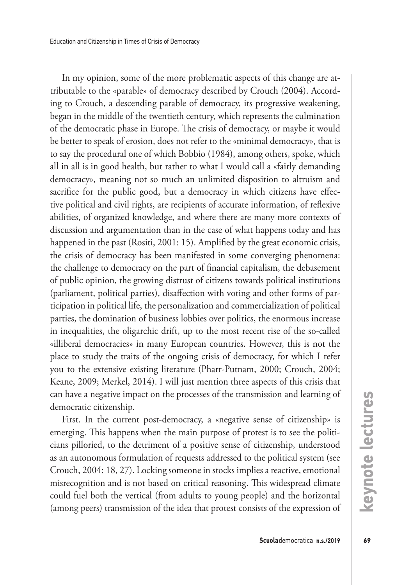In my opinion, some of the more problematic aspects of this change are attributable to the «parable» of democracy described by Crouch (2004). According to Crouch, a descending parable of democracy, its progressive weakening, began in the middle of the twentieth century, which represents the culmination of the democratic phase in Europe. The crisis of democracy, or maybe it would be better to speak of erosion, does not refer to the «minimal democracy», that is to say the procedural one of which Bobbio (1984), among others, spoke, which all in all is in good health, but rather to what I would call a «fairly demanding democracy», meaning not so much an unlimited disposition to altruism and sacrifice for the public good, but a democracy in which citizens have effective political and civil rights, are recipients of accurate information, of reflexive abilities, of organized knowledge, and where there are many more contexts of discussion and argumentation than in the case of what happens today and has happened in the past (Rositi, 2001: 15). Amplified by the great economic crisis, the crisis of democracy has been manifested in some converging phenomena: the challenge to democracy on the part of financial capitalism, the debasement of public opinion, the growing distrust of citizens towards political institutions (parliament, political parties), disaffection with voting and other forms of participation in political life, the personalization and commercialization of political parties, the domination of business lobbies over politics, the enormous increase in inequalities, the oligarchic drift, up to the most recent rise of the so-called «illiberal democracies» in many European countries. However, this is not the place to study the traits of the ongoing crisis of democracy, for which I refer you to the extensive existing literature (Pharr-Putnam, 2000; Crouch, 2004; Keane, 2009; Merkel, 2014). I will just mention three aspects of this crisis that can have a negative impact on the processes of the transmission and learning of democratic citizenship.

First. In the current post-democracy, a «negative sense of citizenship» is emerging. This happens when the main purpose of protest is to see the politicians pilloried, to the detriment of a positive sense of citizenship, understood as an autonomous formulation of requests addressed to the political system (see Crouch, 2004: 18, 27). Locking someone in stocks implies a reactive, emotional misrecognition and is not based on critical reasoning. This widespread climate could fuel both the vertical (from adults to young people) and the horizontal (among peers) transmission of the idea that protest consists of the expression of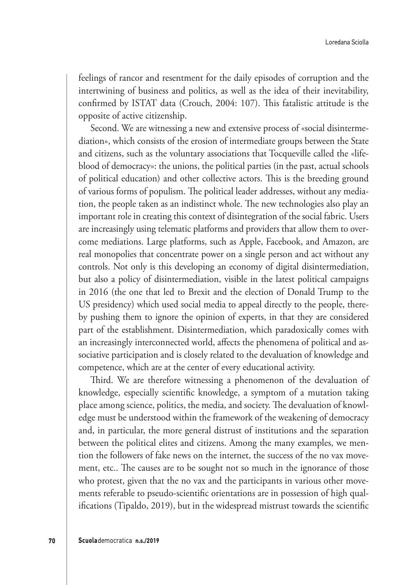feelings of rancor and resentment for the daily episodes of corruption and the intertwining of business and politics, as well as the idea of their inevitability, confirmed by ISTAT data (Crouch, 2004: 107). This fatalistic attitude is the opposite of active citizenship.

Second. We are witnessing a new and extensive process of «social disintermediation», which consists of the erosion of intermediate groups between the State and citizens, such as the voluntary associations that Tocqueville called the «lifeblood of democracy»: the unions, the political parties (in the past, actual schools of political education) and other collective actors. This is the breeding ground of various forms of populism. The political leader addresses, without any mediation, the people taken as an indistinct whole. The new technologies also play an important role in creating this context of disintegration of the social fabric. Users are increasingly using telematic platforms and providers that allow them to overcome mediations. Large platforms, such as Apple, Facebook, and Amazon, are real monopolies that concentrate power on a single person and act without any controls. Not only is this developing an economy of digital disintermediation, but also a policy of disintermediation, visible in the latest political campaigns in 2016 (the one that led to Brexit and the election of Donald Trump to the US presidency) which used social media to appeal directly to the people, thereby pushing them to ignore the opinion of experts, in that they are considered part of the establishment. Disintermediation, which paradoxically comes with an increasingly interconnected world, affects the phenomena of political and associative participation and is closely related to the devaluation of knowledge and competence, which are at the center of every educational activity.

Third. We are therefore witnessing a phenomenon of the devaluation of knowledge, especially scientific knowledge, a symptom of a mutation taking place among science, politics, the media, and society. The devaluation of knowledge must be understood within the framework of the weakening of democracy and, in particular, the more general distrust of institutions and the separation between the political elites and citizens. Among the many examples, we mention the followers of fake news on the internet, the success of the no vax movement, etc.. The causes are to be sought not so much in the ignorance of those who protest, given that the no vax and the participants in various other movements referable to pseudo-scientific orientations are in possession of high qualifications (Tipaldo, 2019), but in the widespread mistrust towards the scientific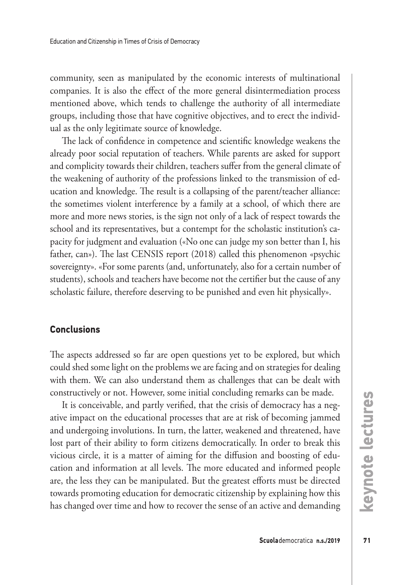community, seen as manipulated by the economic interests of multinational companies. It is also the effect of the more general disintermediation process mentioned above, which tends to challenge the authority of all intermediate groups, including those that have cognitive objectives, and to erect the individual as the only legitimate source of knowledge.

The lack of confidence in competence and scientific knowledge weakens the already poor social reputation of teachers. While parents are asked for support and complicity towards their children, teachers suffer from the general climate of the weakening of authority of the professions linked to the transmission of education and knowledge. The result is a collapsing of the parent/teacher alliance: the sometimes violent interference by a family at a school, of which there are more and more news stories, is the sign not only of a lack of respect towards the school and its representatives, but a contempt for the scholastic institution's capacity for judgment and evaluation («No one can judge my son better than I, his father, can»). The last CENSIS report (2018) called this phenomenon «psychic sovereignty». «For some parents (and, unfortunately, also for a certain number of students), schools and teachers have become not the certifier but the cause of any scholastic failure, therefore deserving to be punished and even hit physically».

## **Conclusions**

The aspects addressed so far are open questions yet to be explored, but which could shed some light on the problems we are facing and on strategies for dealing with them. We can also understand them as challenges that can be dealt with constructively or not. However, some initial concluding remarks can be made.

It is conceivable, and partly verified, that the crisis of democracy has a negative impact on the educational processes that are at risk of becoming jammed and undergoing involutions. In turn, the latter, weakened and threatened, have lost part of their ability to form citizens democratically. In order to break this vicious circle, it is a matter of aiming for the diffusion and boosting of education and information at all levels. The more educated and informed people are, the less they can be manipulated. But the greatest efforts must be directed towards promoting education for democratic citizenship by explaining how this has changed over time and how to recover the sense of an active and demanding